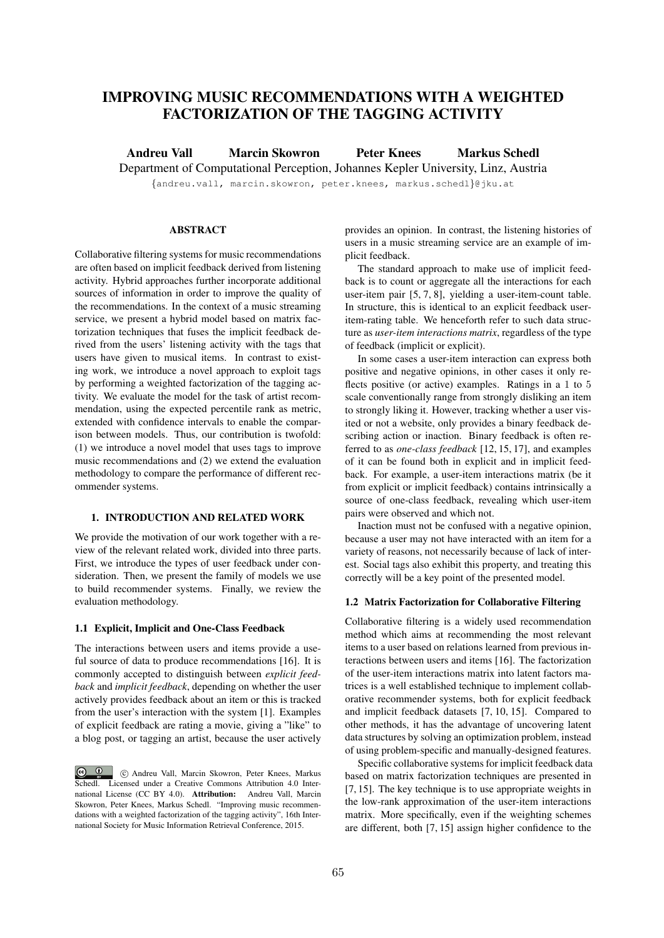# IMPROVING MUSIC RECOMMENDATIONS WITH A WEIGHTED FACTORIZATION OF THE TAGGING ACTIVITY

Andreu Vall Marcin Skowron Peter Knees Markus Schedl

Department of Computational Perception, Johannes Kepler University, Linz, Austria

*{*andreu.vall, marcin.skowron, peter.knees, markus.schedl*}*@jku.at

# **ABSTRACT**

Collaborative filtering systems for music recommendations are often based on implicit feedback derived from listening activity. Hybrid approaches further incorporate additional sources of information in order to improve the quality of the recommendations. In the context of a music streaming service, we present a hybrid model based on matrix factorization techniques that fuses the implicit feedback derived from the users' listening activity with the tags that users have given to musical items. In contrast to existing work, we introduce a novel approach to exploit tags by performing a weighted factorization of the tagging activity. We evaluate the model for the task of artist recommendation, using the expected percentile rank as metric, extended with confidence intervals to enable the comparison between models. Thus, our contribution is twofold: (1) we introduce a novel model that uses tags to improve music recommendations and (2) we extend the evaluation methodology to compare the performance of different recommender systems.

# 1. INTRODUCTION AND RELATED WORK

We provide the motivation of our work together with a review of the relevant related work, divided into three parts. First, we introduce the types of user feedback under consideration. Then, we present the family of models we use to build recommender systems. Finally, we review the evaluation methodology.

### 1.1 Explicit, Implicit and One-Class Feedback

The interactions between users and items provide a useful source of data to produce recommendations [16]. It is commonly accepted to distinguish between *explicit feedback* and *implicit feedback*, depending on whether the user actively provides feedback about an item or this is tracked from the user's interaction with the system [1]. Examples of explicit feedback are rating a movie, giving a "like" to a blog post, or tagging an artist, because the user actively

provides an opinion. In contrast, the listening histories of users in a music streaming service are an example of implicit feedback.

The standard approach to make use of implicit feedback is to count or aggregate all the interactions for each user-item pair [5, 7, 8], yielding a user-item-count table. In structure, this is identical to an explicit feedback useritem-rating table. We henceforth refer to such data structure as *user-item interactions matrix*, regardless of the type of feedback (implicit or explicit).

In some cases a user-item interaction can express both positive and negative opinions, in other cases it only reflects positive (or active) examples. Ratings in a 1 to 5 scale conventionally range from strongly disliking an item to strongly liking it. However, tracking whether a user visited or not a website, only provides a binary feedback describing action or inaction. Binary feedback is often referred to as *one-class feedback* [12, 15, 17], and examples of it can be found both in explicit and in implicit feedback. For example, a user-item interactions matrix (be it from explicit or implicit feedback) contains intrinsically a source of one-class feedback, revealing which user-item pairs were observed and which not.

Inaction must not be confused with a negative opinion, because a user may not have interacted with an item for a variety of reasons, not necessarily because of lack of interest. Social tags also exhibit this property, and treating this correctly will be a key point of the presented model.

### 1.2 Matrix Factorization for Collaborative Filtering

Collaborative filtering is a widely used recommendation method which aims at recommending the most relevant items to a user based on relations learned from previous interactions between users and items [16]. The factorization of the user-item interactions matrix into latent factors matrices is a well established technique to implement collaborative recommender systems, both for explicit feedback and implicit feedback datasets [7, 10, 15]. Compared to other methods, it has the advantage of uncovering latent data structures by solving an optimization problem, instead of using problem-specific and manually-designed features.

Specific collaborative systems for implicit feedback data based on matrix factorization techniques are presented in [7, 15]. The key technique is to use appropriate weights in the low-rank approximation of the user-item interactions matrix. More specifically, even if the weighting schemes are different, both [7, 15] assign higher confidence to the

c **C** C Andreu Vall, Marcin Skowron, Peter Knees, Markus Schedl. Licensed under a Creative Commons Attribution 4.0 International License (CC BY 4.0). Attribution: Andreu Vall, Marcin Skowron, Peter Knees, Markus Schedl. "Improving music recommendations with a weighted factorization of the tagging activity", 16th International Society for Music Information Retrieval Conference, 2015.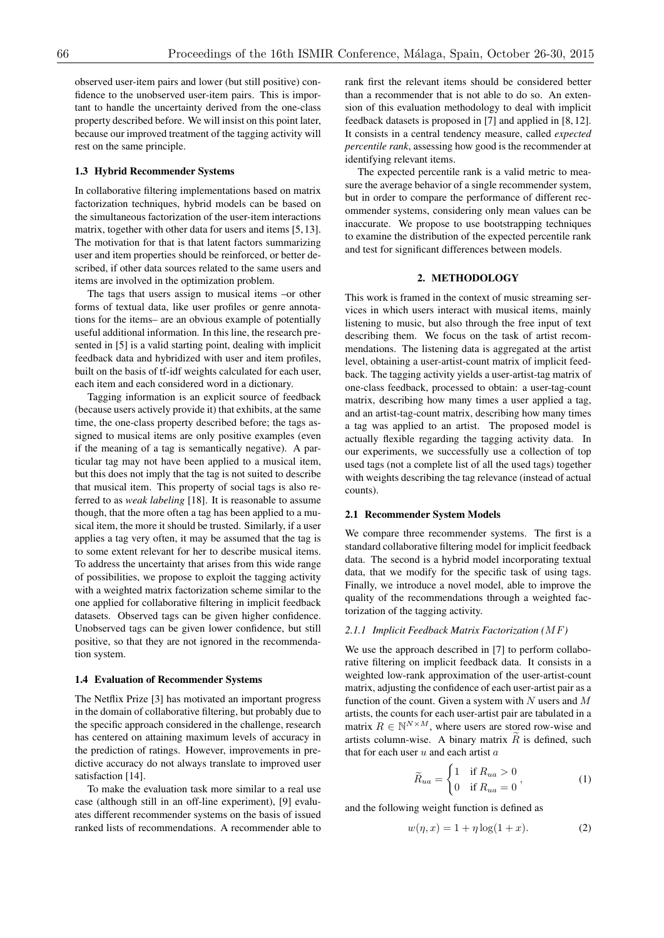observed user-item pairs and lower (but still positive) confidence to the unobserved user-item pairs. This is important to handle the uncertainty derived from the one-class property described before. We will insist on this point later, because our improved treatment of the tagging activity will rest on the same principle.

# 1.3 Hybrid Recommender Systems

In collaborative filtering implementations based on matrix factorization techniques, hybrid models can be based on the simultaneous factorization of the user-item interactions matrix, together with other data for users and items [5, 13]. The motivation for that is that latent factors summarizing user and item properties should be reinforced, or better described, if other data sources related to the same users and items are involved in the optimization problem.

The tags that users assign to musical items –or other forms of textual data, like user profiles or genre annotations for the items– are an obvious example of potentially useful additional information. In this line, the research presented in [5] is a valid starting point, dealing with implicit feedback data and hybridized with user and item profiles, built on the basis of tf-idf weights calculated for each user, each item and each considered word in a dictionary.

Tagging information is an explicit source of feedback (because users actively provide it) that exhibits, at the same time, the one-class property described before; the tags assigned to musical items are only positive examples (even if the meaning of a tag is semantically negative). A particular tag may not have been applied to a musical item, but this does not imply that the tag is not suited to describe that musical item. This property of social tags is also referred to as *weak labeling* [18]. It is reasonable to assume though, that the more often a tag has been applied to a musical item, the more it should be trusted. Similarly, if a user applies a tag very often, it may be assumed that the tag is to some extent relevant for her to describe musical items. To address the uncertainty that arises from this wide range of possibilities, we propose to exploit the tagging activity with a weighted matrix factorization scheme similar to the one applied for collaborative filtering in implicit feedback datasets. Observed tags can be given higher confidence. Unobserved tags can be given lower confidence, but still positive, so that they are not ignored in the recommendation system.

#### 1.4 Evaluation of Recommender Systems

The Netflix Prize [3] has motivated an important progress in the domain of collaborative filtering, but probably due to the specific approach considered in the challenge, research has centered on attaining maximum levels of accuracy in the prediction of ratings. However, improvements in predictive accuracy do not always translate to improved user satisfaction [14].

To make the evaluation task more similar to a real use case (although still in an off-line experiment), [9] evaluates different recommender systems on the basis of issued ranked lists of recommendations. A recommender able to rank first the relevant items should be considered better than a recommender that is not able to do so. An extension of this evaluation methodology to deal with implicit feedback datasets is proposed in [7] and applied in [8, 12]. It consists in a central tendency measure, called *expected percentile rank*, assessing how good is the recommender at identifying relevant items.

The expected percentile rank is a valid metric to measure the average behavior of a single recommender system, but in order to compare the performance of different recommender systems, considering only mean values can be inaccurate. We propose to use bootstrapping techniques to examine the distribution of the expected percentile rank and test for significant differences between models.

# 2. METHODOLOGY

This work is framed in the context of music streaming services in which users interact with musical items, mainly listening to music, but also through the free input of text describing them. We focus on the task of artist recommendations. The listening data is aggregated at the artist level, obtaining a user-artist-count matrix of implicit feedback. The tagging activity yields a user-artist-tag matrix of one-class feedback, processed to obtain: a user-tag-count matrix, describing how many times a user applied a tag, and an artist-tag-count matrix, describing how many times a tag was applied to an artist. The proposed model is actually flexible regarding the tagging activity data. In our experiments, we successfully use a collection of top used tags (not a complete list of all the used tags) together with weights describing the tag relevance (instead of actual counts).

### 2.1 Recommender System Models

We compare three recommender systems. The first is a standard collaborative filtering model for implicit feedback data. The second is a hybrid model incorporating textual data, that we modify for the specific task of using tags. Finally, we introduce a novel model, able to improve the quality of the recommendations through a weighted factorization of the tagging activity.

#### *2.1.1 Implicit Feedback Matrix Factorization (MF)*

We use the approach described in [7] to perform collaborative filtering on implicit feedback data. It consists in a weighted low-rank approximation of the user-artist-count matrix, adjusting the confidence of each user-artist pair as a function of the count. Given a system with *N* users and *M* artists, the counts for each user-artist pair are tabulated in a matrix  $R \in \mathbb{N}^{N \times M}$ , where users are stored row-wise and artists column-wise. A binary matrix  $\widetilde{R}$  is defined, such that for each user *u* and each artist *a*

$$
\widetilde{R}_{ua} = \begin{cases}\n1 & \text{if } R_{ua} > 0 \\
0 & \text{if } R_{ua} = 0\n\end{cases},\n\tag{1}
$$

and the following weight function is defined as

$$
w(\eta, x) = 1 + \eta \log(1 + x). \tag{2}
$$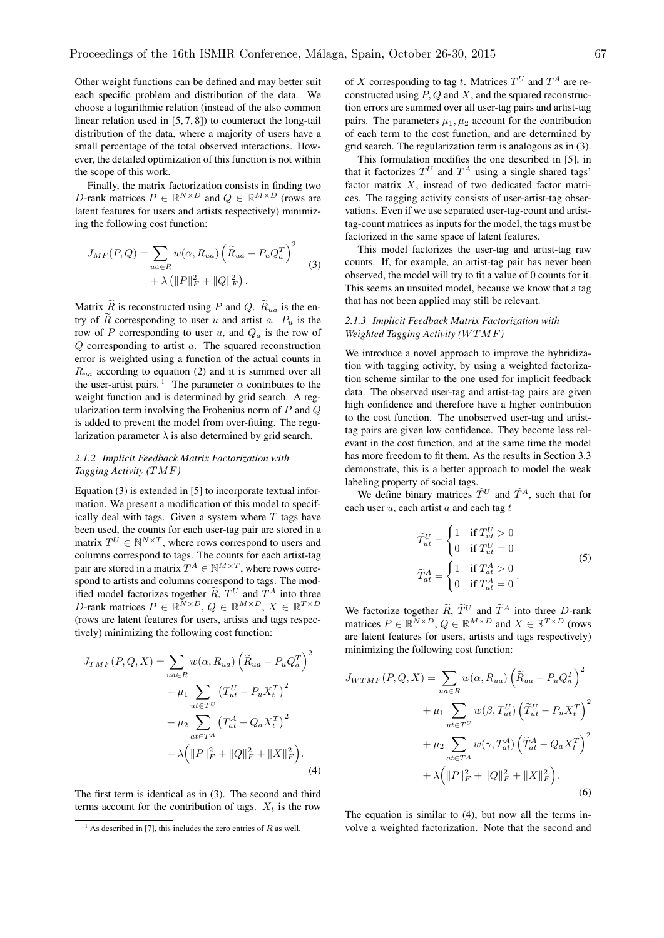Other weight functions can be defined and may better suit each specific problem and distribution of the data. We choose a logarithmic relation (instead of the also common linear relation used in [5, 7, 8]) to counteract the long-tail distribution of the data, where a majority of users have a small percentage of the total observed interactions. However, the detailed optimization of this function is not within the scope of this work.

Finally, the matrix factorization consists in finding two *D*-rank matrices  $P \in \mathbb{R}^{N \times D}$  and  $Q \in \mathbb{R}^{M \times D}$  (rows are latent features for users and artists respectively) minimizing the following cost function:

$$
J_{MF}(P,Q) = \sum_{ua \in R} w(\alpha, R_{ua}) \left(\widetilde{R}_{ua} - P_u Q_a^T\right)^2 + \lambda \left( ||P||_F^2 + ||Q||_F^2 \right).
$$
 (3)

Matrix  $\widetilde{R}$  is reconstructed using *P* and *Q*.  $\widetilde{R}_{ua}$  is the entry of  $\tilde{R}$  corresponding to user *u* and artist *a*.  $P_u$  is the row of *P* corresponding to user *u*, and *Q<sup>a</sup>* is the row of *Q* corresponding to artist *a*. The squared reconstruction error is weighted using a function of the actual counts in *Rua* according to equation (2) and it is summed over all the user-artist pairs. <sup>1</sup> The parameter  $\alpha$  contributes to the weight function and is determined by grid search. A regularization term involving the Frobenius norm of *P* and *Q* is added to prevent the model from over-fitting. The regularization parameter  $\lambda$  is also determined by grid search.

# *2.1.2 Implicit Feedback Matrix Factorization with Tagging Activity (TMF)*

Equation (3) is extended in [5] to incorporate textual information. We present a modification of this model to specifically deal with tags. Given a system where *T* tags have been used, the counts for each user-tag pair are stored in a matrix  $T^{U} \in \mathbb{N}^{N \times T}$ , where rows correspond to users and columns correspond to tags. The counts for each artist-tag pair are stored in a matrix  $T^A \in \mathbb{N}^{M \times T}$ , where rows correspond to artists and columns correspond to tags. The modified model factorizes together  $\widetilde{R}$ ,  $T^U$  and  $T^A$  into three *D*-rank matrices  $P \in \mathbb{R}^{N \times D}$ ,  $Q \in \mathbb{R}^{M \times D}$ ,  $X \in \mathbb{R}^{T \times D}$ (rows are latent features for users, artists and tags respectively) minimizing the following cost function:

$$
J_{TMF}(P,Q,X) = \sum_{ua \in R} w(\alpha, R_{ua}) \left(\widetilde{R}_{ua} - P_u Q_a^T\right)^2 + \mu_1 \sum_{ut \in T^U} \left(T_{ut}^U - P_u X_t^T\right)^2 + \mu_2 \sum_{at \in T^A} \left(T_{at}^A - Q_a X_t^T\right)^2 + \lambda \left(\|P\|_F^2 + \|Q\|_F^2 + \|X\|_F^2\right).
$$
 (4)

The first term is identical as in (3). The second and third terms account for the contribution of tags.  $X_t$  is the row of *X* corresponding to tag *t*. Matrices  $T^U$  and  $T^A$  are reconstructed using *P, Q* and *X*, and the squared reconstruction errors are summed over all user-tag pairs and artist-tag pairs. The parameters  $\mu_1, \mu_2$  account for the contribution of each term to the cost function, and are determined by grid search. The regularization term is analogous as in (3).

This formulation modifies the one described in [5], in that it factorizes  $T^U$  and  $T^A$  using a single shared tags' factor matrix *X*, instead of two dedicated factor matrices. The tagging activity consists of user-artist-tag observations. Even if we use separated user-tag-count and artisttag-count matrices as inputs for the model, the tags must be factorized in the same space of latent features.

This model factorizes the user-tag and artist-tag raw counts. If, for example, an artist-tag pair has never been observed, the model will try to fit a value of 0 counts for it. This seems an unsuited model, because we know that a tag that has not been applied may still be relevant.

# *2.1.3 Implicit Feedback Matrix Factorization with Weighted Tagging Activity (WTMF)*

We introduce a novel approach to improve the hybridization with tagging activity, by using a weighted factorization scheme similar to the one used for implicit feedback data. The observed user-tag and artist-tag pairs are given high confidence and therefore have a higher contribution to the cost function. The unobserved user-tag and artisttag pairs are given low confidence. They become less relevant in the cost function, and at the same time the model has more freedom to fit them. As the results in Section 3.3 demonstrate, this is a better approach to model the weak labeling property of social tags.

We define binary matrices  $\widetilde{T}^U$  and  $\widetilde{T}^A$ , such that for each user *u*, each artist *a* and each tag *t*

$$
\widetilde{T}_{ut}^{U} = \begin{cases}\n1 & \text{if } T_{ut}^{U} > 0 \\
0 & \text{if } T_{ut}^{U} = 0\n\end{cases}
$$
\n
$$
\widetilde{T}_{at}^{A} = \begin{cases}\n1 & \text{if } T_{at}^{A} > 0 \\
0 & \text{if } T_{at}^{A} = 0\n\end{cases}
$$
\n(5)

We factorize together  $\tilde{R}$ ,  $\tilde{T}^U$  and  $\tilde{T}^A$  into three *D*-rank matrices  $P \in \mathbb{R}^{N \times D}$ ,  $Q \in \mathbb{R}^{M \times D}$  and  $X \in \mathbb{R}^{T \times D}$  (rows are latent features for users, artists and tags respectively) minimizing the following cost function:

$$
J_{WTMF}(P, Q, X) = \sum_{ua \in R} w(\alpha, R_{ua}) \left(\tilde{R}_{ua} - P_u Q_a^T\right)^2
$$

$$
+ \mu_1 \sum_{ut \in T^U} w(\beta, T_{ut}^U) \left(\tilde{T}_{ut}^U - P_u X_t^T\right)^2
$$

$$
+ \mu_2 \sum_{at \in T^A} w(\gamma, T_{at}^A) \left(\tilde{T}_{at}^A - Q_a X_t^T\right)^2
$$

$$
+ \lambda \left(\|P\|_F^2 + \|Q\|_F^2 + \|X\|_F^2\right). \tag{6}
$$

The equation is similar to (4), but now all the terms involve a weighted factorization. Note that the second and

<sup>&</sup>lt;sup>1</sup> As described in [7], this includes the zero entries of  $R$  as well.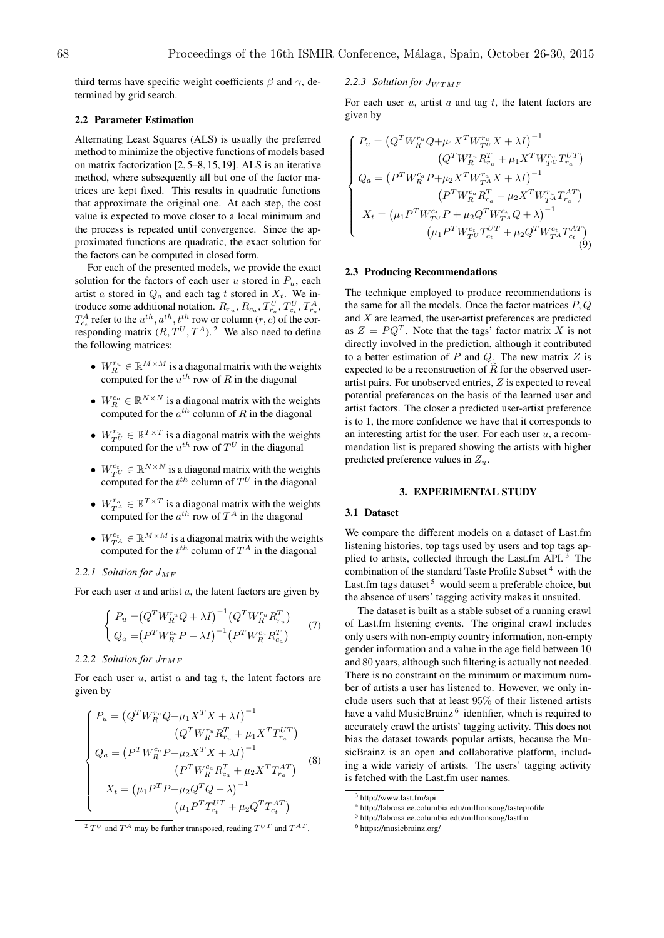third terms have specific weight coefficients  $\beta$  and  $\gamma$ , determined by grid search.

### 2.2 Parameter Estimation

Alternating Least Squares (ALS) is usually the preferred method to minimize the objective functions of models based on matrix factorization [2, 5–8, 15, 19]. ALS is an iterative method, where subsequently all but one of the factor matrices are kept fixed. This results in quadratic functions that approximate the original one. At each step, the cost value is expected to move closer to a local minimum and the process is repeated until convergence. Since the approximated functions are quadratic, the exact solution for the factors can be computed in closed form.

For each of the presented models, we provide the exact solution for the factors of each user *u* stored in  $P_u$ , each artist *a* stored in  $Q_a$  and each tag *t* stored in  $X_t$ . We introduce some additional notation.  $R_{r_u}, R_{c_a}, T_{r_a}^U, T_{c_t}^U, T_{r_a}^A$ ,  $T_{c_t}^A$  refer to the  $u^{th}$ ,  $a^{th}$ ,  $t^{th}$  row or column (*r*, *c*) of the corresponding matrix  $(R, T^U, T^A)$ . <sup>2</sup> We also need to define the following matrices:

- $W_R^{r_u} \in \mathbb{R}^{M \times M}$  is a diagonal matrix with the weights computed for the  $u^{th}$  row of  $R$  in the diagonal
- $W_R^{c_a} \in \mathbb{R}^{N \times N}$  is a diagonal matrix with the weights computed for the  $a^{th}$  column of *R* in the diagonal
- $W_{T^U}^{r_u} \in \mathbb{R}^{T \times T}$  is a diagonal matrix with the weights computed for the  $u^{th}$  row of  $T^U$  in the diagonal
- $W_{T^U}^{c_t} \in \mathbb{R}^{N \times N}$  is a diagonal matrix with the weights computed for the  $t^{th}$  column of  $T^U$  in the diagonal
- $W_{T_A}^{r_a} \in \mathbb{R}^{T \times T}$  is a diagonal matrix with the weights computed for the  $a^{th}$  row of  $T^A$  in the diagonal
- $W_{T_A}^{c_t} \in \mathbb{R}^{M \times M}$  is a diagonal matrix with the weights computed for the  $t^{th}$  column of  $T^A$  in the diagonal

# *2.2.1 Solution for JMF*

For each user *u* and artist *a*, the latent factors are given by

$$
\begin{cases}\nP_u = (Q^T W_R^{r_u} Q + \lambda I)^{-1} (Q^T W_R^{r_u} R_{r_u}^T) \\
Q_a = (P^T W_R^{c_a} P + \lambda I)^{-1} (P^T W_R^{c_a} R_{c_a}^T)\n\end{cases} (7)
$$

#### 2.2.2 Solution for  $J_{TMF}$

For each user *u*, artist *a* and tag *t*, the latent factors are given by

$$
\begin{cases}\nP_u = (Q^T W_R^{r_u} Q + \mu_1 X^T X + \lambda I)^{-1} \\
(Q^T W_R^{r_u} R_{r_u}^T + \mu_1 X^T T_{r_a}^{UT}) \\
Q_a = (P^T W_R^{c_a} P + \mu_2 X^T X + \lambda I)^{-1} \\
(P^T W_R^{c_a} R_{c_a}^T + \mu_2 X^T T_{r_a}^{AT}) \\
X_t = (\mu_1 P^T P + \mu_2 Q^T Q + \lambda)^{-1} \\
(\mu_1 P^T T_{c_t}^{UT} + \mu_2 Q^T T_{c_t}^{AT})\n\end{cases} (8)
$$

 $\frac{2 T U}{T}$  and  $T^A$  may be further transposed, reading  $T^{UT}$  and  $T^{AT}$ .

# *2.2.3 Solution for JWTMF*

For each user *u*, artist *a* and tag *t*, the latent factors are given by

$$
\begin{cases}\nP_u = \left(Q^T W_R^{r_u} Q + \mu_1 X^T W_{T^U}^{r_u} X + \lambda I\right)^{-1} \\
\left(Q^T W_R^{r_u} R_{r_u}^T + \mu_1 X^T W_{T^U}^{r_u} T_{r_a}^{UT}\right) \\
Q_a = \left(P^T W_{R}^{c_a} P + \mu_2 X^T W_{T^A}^{r_a} X + \lambda I\right)^{-1} \\
\left(P^T W_{R}^{c_a} R_{c_a}^T + \mu_2 X^T W_{T^A}^{r_a} T_{r_a}^{AT}\right) \\
X_t = \left(\mu_1 P^T W_{T^U}^{c_t} P + \mu_2 Q^T W_{T^A}^{c_t} Q + \lambda\right)^{-1} \\
\left(\mu_1 P^T W_{T^U}^{c_t} T_{c_t}^{UT} + \mu_2 Q^T W_{T^A}^{c_t} T_{c_t}^{AT}\right)\n\end{cases}
$$

## 2.3 Producing Recommendations

The technique employed to produce recommendations is the same for all the models. Once the factor matrices *P, Q* and *X* are learned, the user-artist preferences are predicted as  $Z = PQ^T$ . Note that the tags' factor matrix X is not directly involved in the prediction, although it contributed to a better estimation of *P* and *Q*. The new matrix *Z* is expected to be a reconstruction of  $R$  for the observed userartist pairs. For unobserved entries, *Z* is expected to reveal potential preferences on the basis of the learned user and artist factors. The closer a predicted user-artist preference is to 1, the more confidence we have that it corresponds to an interesting artist for the user. For each user *u*, a recommendation list is prepared showing the artists with higher predicted preference values in *Zu*.

### 3. EXPERIMENTAL STUDY

# 3.1 Dataset

We compare the different models on a dataset of Last.fm listening histories, top tags used by users and top tags applied to artists, collected through the Last.fm API. <sup>3</sup> The combination of the standard Taste Profile Subset<sup>4</sup> with the Last.fm tags dataset  $5$  would seem a preferable choice, but the absence of users' tagging activity makes it unsuited.

The dataset is built as a stable subset of a running crawl of Last.fm listening events. The original crawl includes only users with non-empty country information, non-empty gender information and a value in the age field between 10 and 80 years, although such filtering is actually not needed. There is no constraint on the minimum or maximum number of artists a user has listened to. However, we only include users such that at least 95% of their listened artists have a valid MusicBrainz<sup>6</sup> identifier, which is required to accurately crawl the artists' tagging activity. This does not bias the dataset towards popular artists, because the MusicBrainz is an open and collaborative platform, including a wide variety of artists. The users' tagging activity is fetched with the Last.fm user names.

<sup>&</sup>lt;sup>3</sup> http://www.last.fm/api

<sup>4</sup> http://labrosa.ee.columbia.edu/millionsong/tasteprofile

<sup>5</sup> http://labrosa.ee.columbia.edu/millionsong/lastfm

<sup>6</sup> https://musicbrainz.org/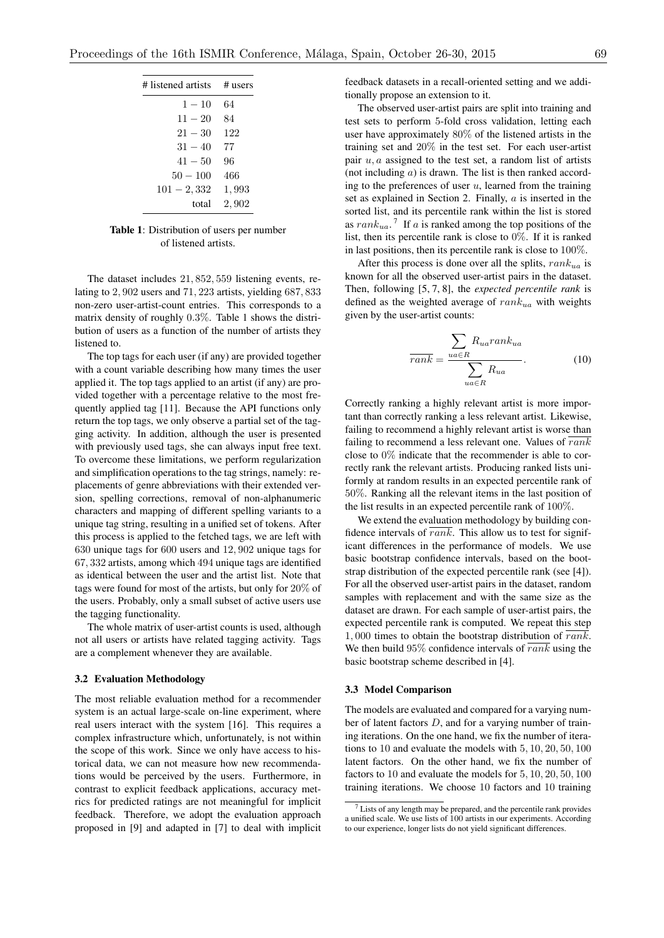| # listened artists | $#$ users |
|--------------------|-----------|
| $1 - 10$           | 64        |
| $11 - 20$          | 84        |
| $21 - 30$          | 122       |
| $31 - 40$          | 77        |
| $41 - 50$          | 96        |
| $50 - 100$         | 466       |
| $101 - 2,332$      | 1,993     |
| total              | 2,902     |

Table 1: Distribution of users per number of listened artists.

The dataset includes 21*,* 852*,* 559 listening events, relating to 2*,* 902 users and 71*,* 223 artists, yielding 687*,* 833 non-zero user-artist-count entries. This corresponds to a matrix density of roughly 0*.*3%. Table 1 shows the distribution of users as a function of the number of artists they listened to.

The top tags for each user (if any) are provided together with a count variable describing how many times the user applied it. The top tags applied to an artist (if any) are provided together with a percentage relative to the most frequently applied tag [11]. Because the API functions only return the top tags, we only observe a partial set of the tagging activity. In addition, although the user is presented with previously used tags, she can always input free text. To overcome these limitations, we perform regularization and simplification operations to the tag strings, namely: replacements of genre abbreviations with their extended version, spelling corrections, removal of non-alphanumeric characters and mapping of different spelling variants to a unique tag string, resulting in a unified set of tokens. After this process is applied to the fetched tags, we are left with 630 unique tags for 600 users and 12*,* 902 unique tags for 67*,* 332 artists, among which 494 unique tags are identified as identical between the user and the artist list. Note that tags were found for most of the artists, but only for 20% of the users. Probably, only a small subset of active users use the tagging functionality.

The whole matrix of user-artist counts is used, although not all users or artists have related tagging activity. Tags are a complement whenever they are available.

# 3.2 Evaluation Methodology

The most reliable evaluation method for a recommender system is an actual large-scale on-line experiment, where real users interact with the system [16]. This requires a complex infrastructure which, unfortunately, is not within the scope of this work. Since we only have access to historical data, we can not measure how new recommendations would be perceived by the users. Furthermore, in contrast to explicit feedback applications, accuracy metrics for predicted ratings are not meaningful for implicit feedback. Therefore, we adopt the evaluation approach proposed in [9] and adapted in [7] to deal with implicit feedback datasets in a recall-oriented setting and we additionally propose an extension to it.

The observed user-artist pairs are split into training and test sets to perform 5-fold cross validation, letting each user have approximately 80% of the listened artists in the training set and 20% in the test set. For each user-artist pair *u, a* assigned to the test set, a random list of artists (not including *a*) is drawn. The list is then ranked according to the preferences of user *u*, learned from the training set as explained in Section 2. Finally, *a* is inserted in the sorted list, and its percentile rank within the list is stored as *rankua*. <sup>7</sup> If *a* is ranked among the top positions of the list, then its percentile rank is close to 0%. If it is ranked in last positions, then its percentile rank is close to 100%.

After this process is done over all the splits, *rankua* is known for all the observed user-artist pairs in the dataset. Then, following [5, 7, 8], the *expected percentile rank* is defined as the weighted average of *rankua* with weights given by the user-artist counts:

$$
\overline{rank} = \frac{\sum_{ua \in R} R_{ua} rank_{ua}}{\sum_{ua \in R} R_{ua}}.
$$
 (10)

Correctly ranking a highly relevant artist is more important than correctly ranking a less relevant artist. Likewise, failing to recommend a highly relevant artist is worse than failing to recommend a less relevant one. Values of *rank* close to 0% indicate that the recommender is able to correctly rank the relevant artists. Producing ranked lists uniformly at random results in an expected percentile rank of 50%. Ranking all the relevant items in the last position of the list results in an expected percentile rank of 100%.

We extend the evaluation methodology by building confidence intervals of  $\overline{rank}$ . This allow us to test for significant differences in the performance of models. We use basic bootstrap confidence intervals, based on the bootstrap distribution of the expected percentile rank (see [4]). For all the observed user-artist pairs in the dataset, random samples with replacement and with the same size as the dataset are drawn. For each sample of user-artist pairs, the expected percentile rank is computed. We repeat this step 1*,* 000 times to obtain the bootstrap distribution of *rank*. We then build 95% confidence intervals of *rank* using the basic bootstrap scheme described in [4].

### 3.3 Model Comparison

The models are evaluated and compared for a varying number of latent factors *D*, and for a varying number of training iterations. On the one hand, we fix the number of iterations to 10 and evaluate the models with 5*,* 10*,* 20*,* 50*,* 100 latent factors. On the other hand, we fix the number of factors to 10 and evaluate the models for 5*,* 10*,* 20*,* 50*,* 100 training iterations. We choose 10 factors and 10 training

 $<sup>7</sup>$  Lists of any length may be prepared, and the percentile rank provides</sup> a unified scale. We use lists of 100 artists in our experiments. According to our experience, longer lists do not yield significant differences.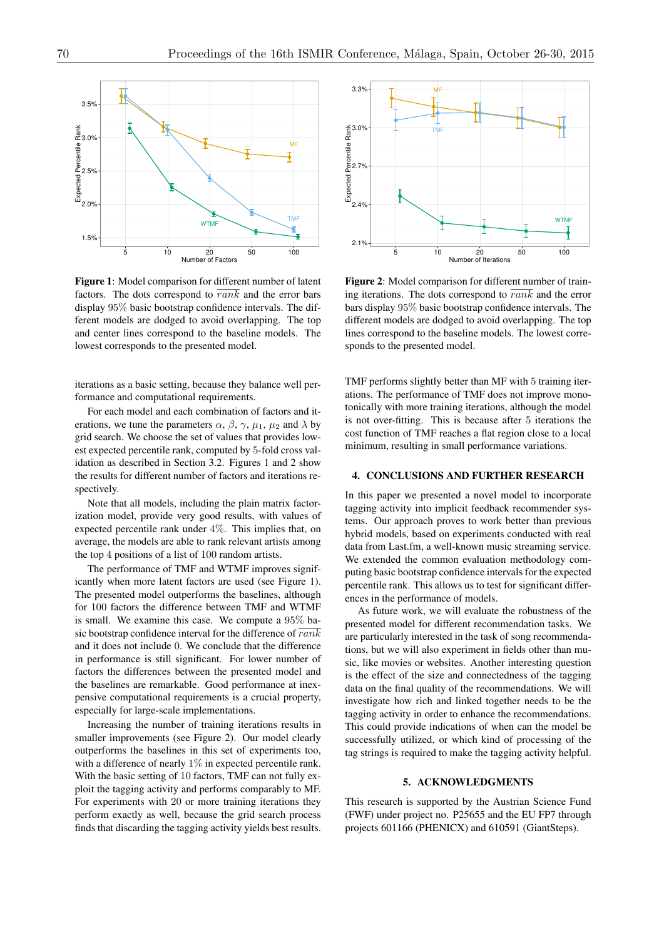

Figure 1: Model comparison for different number of latent factors. The dots correspond to *rank* and the error bars display 95% basic bootstrap confidence intervals. The different models are dodged to avoid overlapping. The top and center lines correspond to the baseline models. The lowest corresponds to the presented model.

iterations as a basic setting, because they balance well performance and computational requirements.

For each model and each combination of factors and iterations, we tune the parameters  $\alpha$ ,  $\beta$ ,  $\gamma$ ,  $\mu_1$ ,  $\mu_2$  and  $\lambda$  by grid search. We choose the set of values that provides lowest expected percentile rank, computed by 5-fold cross validation as described in Section 3.2. Figures 1 and 2 show the results for different number of factors and iterations respectively.

Note that all models, including the plain matrix factorization model, provide very good results, with values of expected percentile rank under 4%. This implies that, on average, the models are able to rank relevant artists among the top 4 positions of a list of 100 random artists.

The performance of TMF and WTMF improves significantly when more latent factors are used (see Figure 1). The presented model outperforms the baselines, although for 100 factors the difference between TMF and WTMF is small. We examine this case. We compute a 95% basic bootstrap confidence interval for the difference of *rank* and it does not include 0. We conclude that the difference in performance is still significant. For lower number of factors the differences between the presented model and the baselines are remarkable. Good performance at inexpensive computational requirements is a crucial property, especially for large-scale implementations.

Increasing the number of training iterations results in smaller improvements (see Figure 2). Our model clearly outperforms the baselines in this set of experiments too, with a difference of nearly  $1\%$  in expected percentile rank. With the basic setting of 10 factors, TMF can not fully exploit the tagging activity and performs comparably to MF. For experiments with 20 or more training iterations they perform exactly as well, because the grid search process finds that discarding the tagging activity yields best results.



Figure 2: Model comparison for different number of training iterations. The dots correspond to *rank* and the error bars display 95% basic bootstrap confidence intervals. The different models are dodged to avoid overlapping. The top lines correspond to the baseline models. The lowest corresponds to the presented model.

TMF performs slightly better than MF with 5 training iterations. The performance of TMF does not improve monotonically with more training iterations, although the model is not over-fitting. This is because after 5 iterations the cost function of TMF reaches a flat region close to a local minimum, resulting in small performance variations.

# 4. CONCLUSIONS AND FURTHER RESEARCH

In this paper we presented a novel model to incorporate tagging activity into implicit feedback recommender systems. Our approach proves to work better than previous hybrid models, based on experiments conducted with real data from Last.fm, a well-known music streaming service. We extended the common evaluation methodology computing basic bootstrap confidence intervals for the expected percentile rank. This allows us to test for significant differences in the performance of models.

As future work, we will evaluate the robustness of the presented model for different recommendation tasks. We are particularly interested in the task of song recommendations, but we will also experiment in fields other than music, like movies or websites. Another interesting question is the effect of the size and connectedness of the tagging data on the final quality of the recommendations. We will investigate how rich and linked together needs to be the tagging activity in order to enhance the recommendations. This could provide indications of when can the model be successfully utilized, or which kind of processing of the tag strings is required to make the tagging activity helpful.

### 5. ACKNOWLEDGMENTS

This research is supported by the Austrian Science Fund (FWF) under project no. P25655 and the EU FP7 through projects 601166 (PHENICX) and 610591 (GiantSteps).